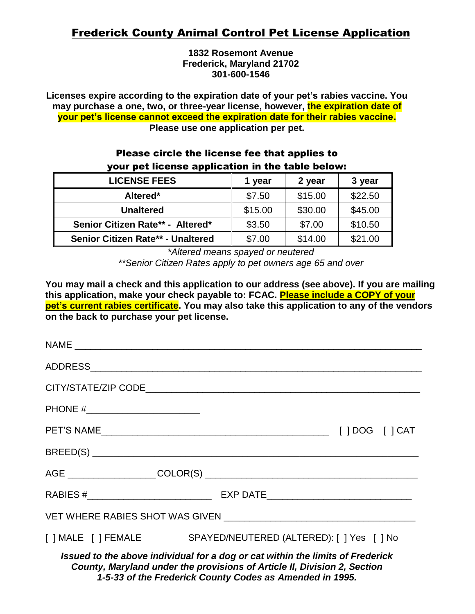# Frederick County Animal Control Pet License Application

**1832 Rosemont Avenue Frederick, Maryland 21702 301-600-1546**

**Licenses expire according to the expiration date of your pet's rabies vaccine. You may purchase a one, two, or three-year license, however, the expiration date of your pet's license cannot exceed the expiration date for their rabies vaccine. Please use one application per pet.**

# Please circle the license fee that applies to your pet license application in the table below:

| <b>LICENSE FEES</b>               | 1 year  | 2 year  | 3 year  |
|-----------------------------------|---------|---------|---------|
| Altered*                          | \$7.50  | \$15.00 | \$22.50 |
| <b>Unaltered</b>                  | \$15.00 | \$30.00 | \$45.00 |
| Senior Citizen Rate** - Altered*  | \$3.50  | \$7.00  | \$10.50 |
| Senior Citizen Rate** - Unaltered | \$7.00  | \$14.00 | \$21.00 |

*\*Altered means spayed or neutered \*\*Senior Citizen Rates apply to pet owners age 65 and over*

**You may mail a check and this application to our address (see above). If you are mailing this application, make your check payable to: FCAC. Please include a COPY of your pet's current rabies certificate. You may also take this application to any of the vendors on the back to purchase your pet license.**

| PHONE #________________________                                                                                                                            |                                                               |  |  |
|------------------------------------------------------------------------------------------------------------------------------------------------------------|---------------------------------------------------------------|--|--|
|                                                                                                                                                            |                                                               |  |  |
|                                                                                                                                                            |                                                               |  |  |
|                                                                                                                                                            |                                                               |  |  |
|                                                                                                                                                            |                                                               |  |  |
|                                                                                                                                                            |                                                               |  |  |
|                                                                                                                                                            | [ ] MALE [ ] FEMALE SPAYED/NEUTERED (ALTERED): [ ] Yes [ ] No |  |  |
| Issued to the above individual for a dog or cat within the limits of Frederick<br>County, Maryland under the provisions of Article II, Division 2, Section |                                                               |  |  |

*1-5-33 of the Frederick County Codes as Amended in 1995.*